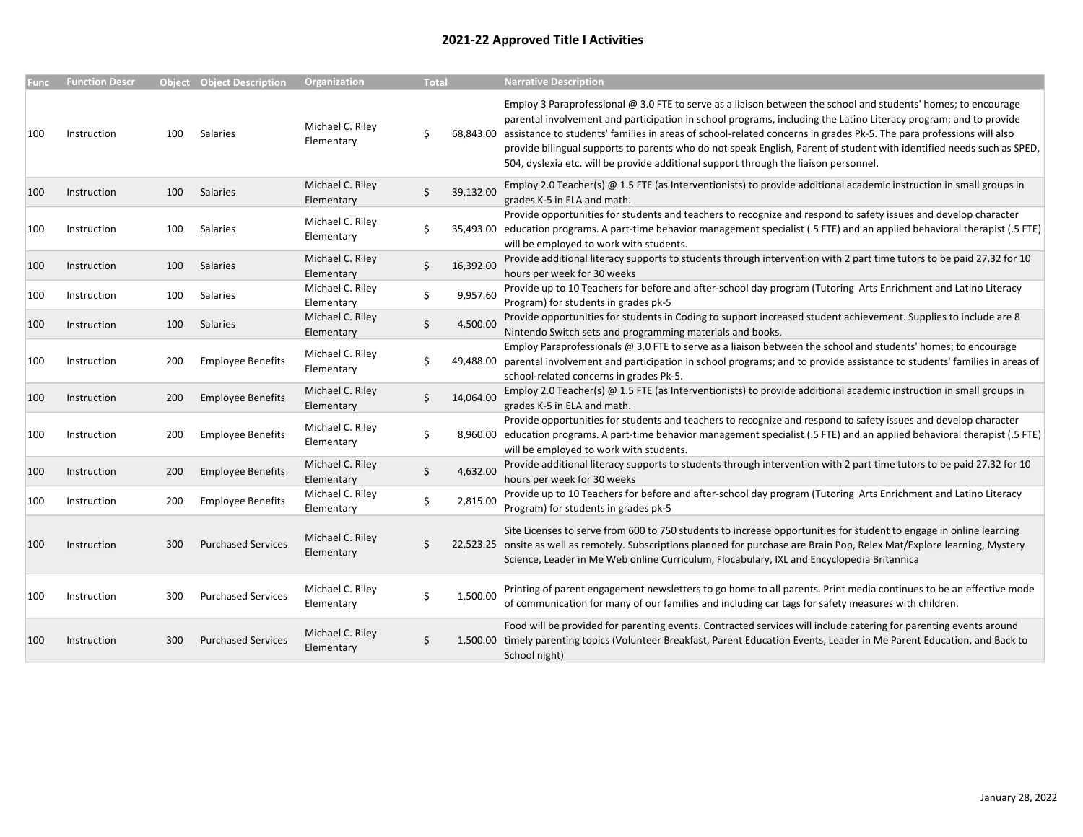## 2021-22 Approved Title I Activities

| <b>Func</b> | <b>Function Descr</b> |     | <b>Object Object Description</b> | Organization                   | <b>Total</b> |           | <b>Narrative Description</b>                                                                                                                                                                                                                                                                                                                                                                                                                                                                                                                                                         |
|-------------|-----------------------|-----|----------------------------------|--------------------------------|--------------|-----------|--------------------------------------------------------------------------------------------------------------------------------------------------------------------------------------------------------------------------------------------------------------------------------------------------------------------------------------------------------------------------------------------------------------------------------------------------------------------------------------------------------------------------------------------------------------------------------------|
| 100         | Instruction           | 100 | Salaries                         | Michael C. Riley<br>Elementary | Ś            |           | Employ 3 Paraprofessional @ 3.0 FTE to serve as a liaison between the school and students' homes; to encourage<br>parental involvement and participation in school programs, including the Latino Literacy program; and to provide<br>68,843.00 assistance to students' families in areas of school-related concerns in grades Pk-5. The para professions will also<br>provide bilingual supports to parents who do not speak English, Parent of student with identified needs such as SPED,<br>504, dyslexia etc. will be provide additional support through the liaison personnel. |
| 100         | Instruction           | 100 | Salaries                         | Michael C. Riley<br>Elementary | \$           | 39,132.00 | Employ 2.0 Teacher(s) @ 1.5 FTE (as Interventionists) to provide additional academic instruction in small groups in<br>grades K-5 in ELA and math.                                                                                                                                                                                                                                                                                                                                                                                                                                   |
| 100         | Instruction           | 100 | Salaries                         | Michael C. Riley<br>Elementary |              |           | Provide opportunities for students and teachers to recognize and respond to safety issues and develop character<br>35,493.00 education programs. A part-time behavior management specialist (.5 FTE) and an applied behavioral therapist (.5 FTE)<br>will be employed to work with students.                                                                                                                                                                                                                                                                                         |
| 100         | Instruction           | 100 | <b>Salaries</b>                  | Michael C. Riley<br>Elementary | Ś            | 16,392.00 | Provide additional literacy supports to students through intervention with 2 part time tutors to be paid 27.32 for 10<br>hours per week for 30 weeks                                                                                                                                                                                                                                                                                                                                                                                                                                 |
| 100         | Instruction           | 100 | Salaries                         | Michael C. Riley<br>Elementary | Ś            | 9,957.60  | Provide up to 10 Teachers for before and after-school day program (Tutoring Arts Enrichment and Latino Literacy<br>Program) for students in grades pk-5                                                                                                                                                                                                                                                                                                                                                                                                                              |
| 100         | Instruction           | 100 | Salaries                         | Michael C. Riley<br>Elementary | \$           | 4,500.00  | Provide opportunities for students in Coding to support increased student achievement. Supplies to include are 8<br>Nintendo Switch sets and programming materials and books.                                                                                                                                                                                                                                                                                                                                                                                                        |
| 100         | Instruction           | 200 | <b>Employee Benefits</b>         | Michael C. Riley<br>Elementary |              |           | Employ Paraprofessionals @ 3.0 FTE to serve as a liaison between the school and students' homes; to encourage<br>49,488.00 parental involvement and participation in school programs; and to provide assistance to students' families in areas of<br>school-related concerns in grades Pk-5.                                                                                                                                                                                                                                                                                         |
| 100         | Instruction           | 200 | <b>Employee Benefits</b>         | Michael C. Riley<br>Elementary | Ś            | 14,064.00 | Employ 2.0 Teacher(s) $@$ 1.5 FTE (as Interventionists) to provide additional academic instruction in small groups in<br>grades K-5 in ELA and math.                                                                                                                                                                                                                                                                                                                                                                                                                                 |
| 100         | Instruction           | 200 | <b>Employee Benefits</b>         | Michael C. Riley<br>Elementary |              |           | Provide opportunities for students and teachers to recognize and respond to safety issues and develop character<br>8,960.00 education programs. A part-time behavior management specialist (.5 FTE) and an applied behavioral therapist (.5 FTE)<br>will be employed to work with students.                                                                                                                                                                                                                                                                                          |
| 100         | Instruction           | 200 | <b>Employee Benefits</b>         | Michael C. Riley<br>Elementary | \$           | 4,632.00  | Provide additional literacy supports to students through intervention with 2 part time tutors to be paid 27.32 for 10<br>hours per week for 30 weeks                                                                                                                                                                                                                                                                                                                                                                                                                                 |
| 100         | Instruction           | 200 | <b>Employee Benefits</b>         | Michael C. Riley<br>Elementary | Ś            | 2,815.00  | Provide up to 10 Teachers for before and after-school day program (Tutoring Arts Enrichment and Latino Literacy<br>Program) for students in grades pk-5                                                                                                                                                                                                                                                                                                                                                                                                                              |
| 100         | Instruction           | 300 | <b>Purchased Services</b>        | Michael C. Riley<br>Elementary |              |           | Site Licenses to serve from 600 to 750 students to increase opportunities for student to engage in online learning<br>22,523.25 onsite as well as remotely. Subscriptions planned for purchase are Brain Pop, Relex Mat/Explore learning, Mystery<br>Science, Leader in Me Web online Curriculum, Flocabulary, IXL and Encyclopedia Britannica                                                                                                                                                                                                                                       |
| 100         | Instruction           | 300 | <b>Purchased Services</b>        | Michael C. Riley<br>Elementary |              | 1,500.00  | Printing of parent engagement newsletters to go home to all parents. Print media continues to be an effective mode<br>of communication for many of our families and including car tags for safety measures with children.                                                                                                                                                                                                                                                                                                                                                            |
| 100         | Instruction           | 300 | <b>Purchased Services</b>        | Michael C. Riley<br>Elementary | Ś            |           | Food will be provided for parenting events. Contracted services will include catering for parenting events around<br>1,500.00 timely parenting topics (Volunteer Breakfast, Parent Education Events, Leader in Me Parent Education, and Back to<br>School night)                                                                                                                                                                                                                                                                                                                     |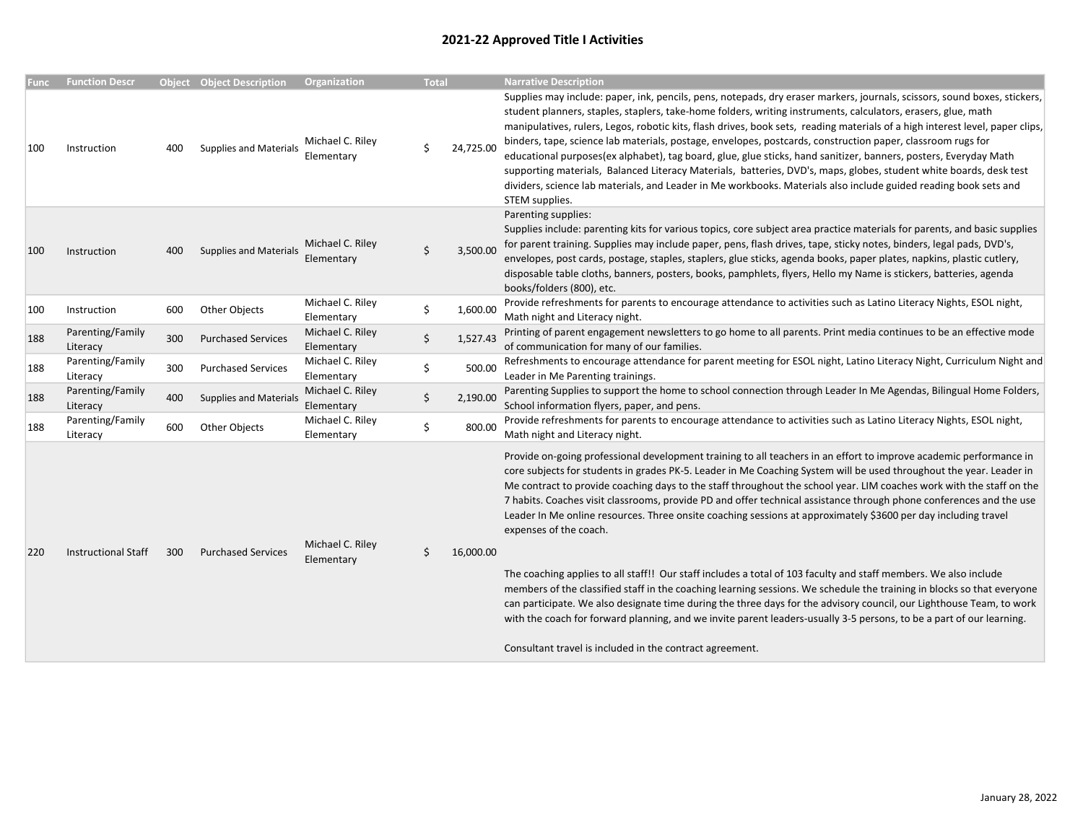## 2021-22 Approved Title I Activities

| Func | <b>Function Descr</b>        |     | <b>Object</b> Object Description | <b>Organization</b>            | <b>Total</b> |           | <b>Narrative Description</b>                                                                                                                                                                                                                                                                                                                                                                                                                                                                                                                                                                                                                                                                                                                                                                                                                                               |
|------|------------------------------|-----|----------------------------------|--------------------------------|--------------|-----------|----------------------------------------------------------------------------------------------------------------------------------------------------------------------------------------------------------------------------------------------------------------------------------------------------------------------------------------------------------------------------------------------------------------------------------------------------------------------------------------------------------------------------------------------------------------------------------------------------------------------------------------------------------------------------------------------------------------------------------------------------------------------------------------------------------------------------------------------------------------------------|
| 100  | Instruction                  | 400 | <b>Supplies and Materials</b>    | Michael C. Riley<br>Elementary |              | 24,725.00 | Supplies may include: paper, ink, pencils, pens, notepads, dry eraser markers, journals, scissors, sound boxes, stickers,<br>student planners, staples, staplers, take-home folders, writing instruments, calculators, erasers, glue, math<br>manipulatives, rulers, Legos, robotic kits, flash drives, book sets, reading materials of a high interest level, paper clips,<br>binders, tape, science lab materials, postage, envelopes, postcards, construction paper, classroom rugs for<br>educational purposes(ex alphabet), tag board, glue, glue sticks, hand sanitizer, banners, posters, Everyday Math<br>supporting materials, Balanced Literacy Materials, batteries, DVD's, maps, globes, student white boards, desk test<br>dividers, science lab materials, and Leader in Me workbooks. Materials also include guided reading book sets and<br>STEM supplies. |
| 100  | Instruction                  | 400 | <b>Supplies and Materials</b>    | Michael C. Riley<br>Elementary | Ś            | 3,500.00  | Parenting supplies:<br>Supplies include: parenting kits for various topics, core subject area practice materials for parents, and basic supplies<br>for parent training. Supplies may include paper, pens, flash drives, tape, sticky notes, binders, legal pads, DVD's,<br>envelopes, post cards, postage, staples, staplers, glue sticks, agenda books, paper plates, napkins, plastic cutlery,<br>disposable table cloths, banners, posters, books, pamphlets, flyers, Hello my Name is stickers, batteries, agenda<br>books/folders (800), etc.                                                                                                                                                                                                                                                                                                                        |
| 100  | Instruction                  | 600 | Other Objects                    | Michael C. Riley<br>Elementary | \$           | 1,600.00  | Provide refreshments for parents to encourage attendance to activities such as Latino Literacy Nights, ESOL night,<br>Math night and Literacy night.                                                                                                                                                                                                                                                                                                                                                                                                                                                                                                                                                                                                                                                                                                                       |
| 188  | Parenting/Family<br>Literacy | 300 | <b>Purchased Services</b>        | Michael C. Riley<br>Elementary | \$           | 1,527.43  | Printing of parent engagement newsletters to go home to all parents. Print media continues to be an effective mode<br>of communication for many of our families.                                                                                                                                                                                                                                                                                                                                                                                                                                                                                                                                                                                                                                                                                                           |
| 188  | Parenting/Family<br>Literacy | 300 | <b>Purchased Services</b>        | Michael C. Riley<br>Elementary | \$           | 500.00    | Refreshments to encourage attendance for parent meeting for ESOL night, Latino Literacy Night, Curriculum Night and<br>Leader in Me Parenting trainings.                                                                                                                                                                                                                                                                                                                                                                                                                                                                                                                                                                                                                                                                                                                   |
| 188  | Parenting/Family<br>Literacy | 400 | <b>Supplies and Materials</b>    | Michael C. Riley<br>Elementary | \$           | 2,190.00  | Parenting Supplies to support the home to school connection through Leader In Me Agendas, Bilingual Home Folders,<br>School information flyers, paper, and pens.                                                                                                                                                                                                                                                                                                                                                                                                                                                                                                                                                                                                                                                                                                           |
| 188  | Parenting/Family<br>Literacy | 600 | Other Objects                    | Michael C. Riley<br>Elementary | Ś            | 800.00    | Provide refreshments for parents to encourage attendance to activities such as Latino Literacy Nights, ESOL night,<br>Math night and Literacy night.                                                                                                                                                                                                                                                                                                                                                                                                                                                                                                                                                                                                                                                                                                                       |
| 220  | <b>Instructional Staff</b>   | 300 | <b>Purchased Services</b>        | Michael C. Riley<br>Elementary | Ś.           | 16,000.00 | Provide on-going professional development training to all teachers in an effort to improve academic performance in<br>core subjects for students in grades PK-5. Leader in Me Coaching System will be used throughout the year. Leader in<br>Me contract to provide coaching days to the staff throughout the school year. LIM coaches work with the staff on the<br>7 habits. Coaches visit classrooms, provide PD and offer technical assistance through phone conferences and the use<br>Leader In Me online resources. Three onsite coaching sessions at approximately \$3600 per day including travel<br>expenses of the coach.<br>The coaching applies to all staff!! Our staff includes a total of 103 faculty and staff members. We also include                                                                                                                   |
|      |                              |     |                                  |                                |              |           | members of the classified staff in the coaching learning sessions. We schedule the training in blocks so that everyone<br>can participate. We also designate time during the three days for the advisory council, our Lighthouse Team, to work<br>with the coach for forward planning, and we invite parent leaders-usually 3-5 persons, to be a part of our learning.                                                                                                                                                                                                                                                                                                                                                                                                                                                                                                     |
|      |                              |     |                                  |                                |              |           | Consultant travel is included in the contract agreement.                                                                                                                                                                                                                                                                                                                                                                                                                                                                                                                                                                                                                                                                                                                                                                                                                   |